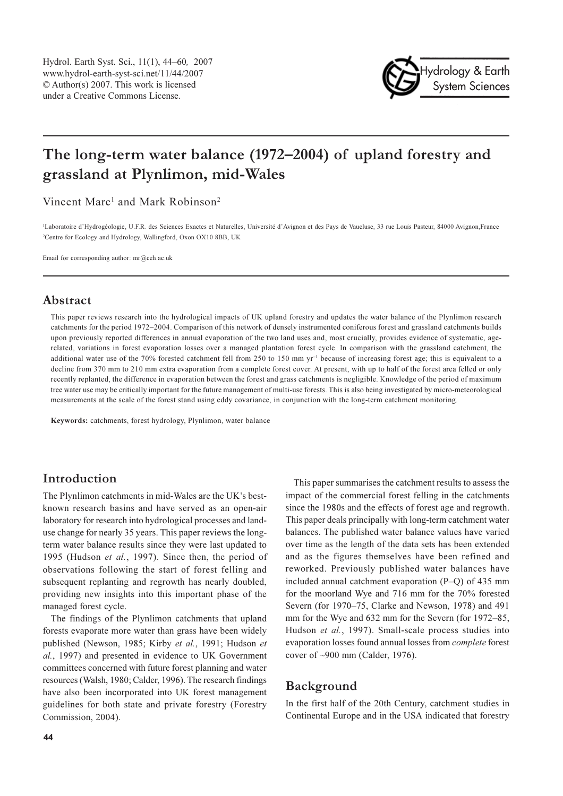

# The long-term water balance (1972–2004) of upland forestry and grassland at Plynlimon, mid-Wales

Vincent Marc<sup>1</sup> and Mark Robinson<sup>2</sup>

<sup>1</sup>Laboratoire d'Hydrogéologie, U.F.R. des Sciences Exactes et Naturelles, Université d'Avignon et des Pays de Vaucluse, 33 rue Louis Pasteur, 84000 Avignon, France <sup>2</sup>Centre for Ecology and Hydrology, Wallingford, Oxon OX10 8BB, UK

Email for corresponding author:  $mr@ceh.ac.uk$ 

# Abstract

This paper reviews research into the hydrological impacts of UK upland forestry and updates the water balance of the Plynlimon research catchments for the period 1972-2004. Comparison of this network of densely instrumented coniferous forest and grassland catchments builds upon previously reported differences in annual evaporation of the two land uses and, most crucially, provides evidence of systematic, agerelated, variations in forest evaporation losses over a managed plantation forest cycle. In comparison with the grassland catchment, the additional water use of the 70% forested catchment fell from 250 to 150 mm  $vr^{-1}$  because of increasing forest age; this is equivalent to a decline from 370 mm to 210 mm extra evaporation from a complete forest cover. At present, with up to half of the forest area felled or only recently replanted, the difference in evaporation between the forest and grass catchments is negligible. Knowledge of the period of maximum tree water use may be critically important for the future management of multi-use forests. This is also being investigated by micro-meteorological measurements at the scale of the forest stand using eddy covariance, in conjunction with the long-term catchment monitoring.

Keywords: catchments, forest hydrology, Plynlimon, water balance

# Introduction

The Plynlimon catchments in mid-Wales are the UK's bestknown research basins and have served as an open-air laboratory for research into hydrological processes and landuse change for nearly 35 years. This paper reviews the longterm water balance results since they were last updated to 1995 (Hudson et al., 1997). Since then, the period of observations following the start of forest felling and subsequent replanting and regrowth has nearly doubled, providing new insights into this important phase of the managed forest cycle.

The findings of the Plynlimon catchments that upland forests evaporate more water than grass have been widely published (Newson, 1985; Kirby et al., 1991; Hudson et al., 1997) and presented in evidence to UK Government committees concerned with future forest planning and water resources (Walsh, 1980; Calder, 1996). The research findings have also been incorporated into UK forest management guidelines for both state and private forestry (Forestry Commission, 2004).

This paper summarises the catchment results to assess the impact of the commercial forest felling in the catchments since the 1980s and the effects of forest age and regrowth. This paper deals principally with long-term catchment water balances. The published water balance values have varied over time as the length of the data sets has been extended and as the figures themselves have been refined and reworked. Previously published water balances have included annual catchment evaporation  $(P-Q)$  of 435 mm for the moorland Wye and 716 mm for the 70% forested Severn (for 1970–75, Clarke and Newson, 1978) and 491 mm for the Wye and 632 mm for the Severn (for 1972–85, Hudson et al., 1997). Small-scale process studies into evaporation losses found annual losses from *complete* forest cover of  $\sim$ 900 mm (Calder, 1976).

# Background

In the first half of the 20th Century, catchment studies in Continental Europe and in the USA indicated that forestry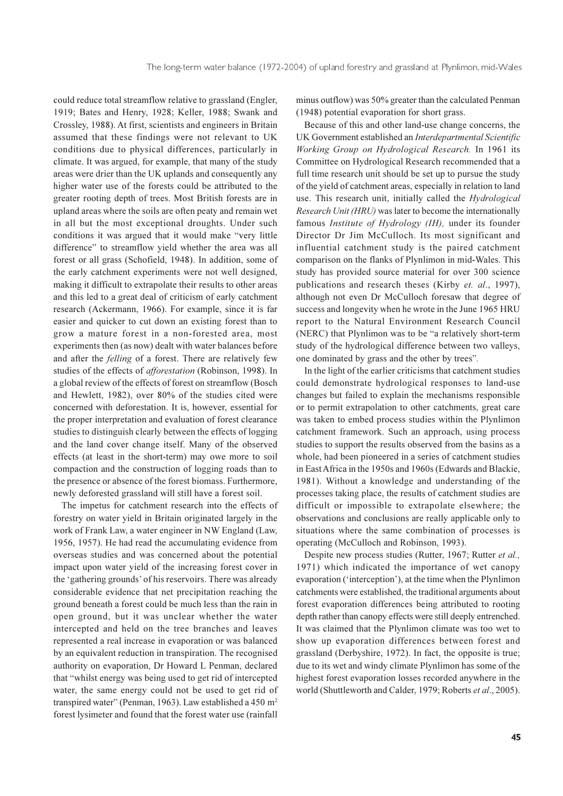could reduce total streamflow relative to grassland (Engler, 1919; Bates and Henry, 1928; Keller, 1988; Swank and Crossley, 1988). At first, scientists and engineers in Britain assumed that these findings were not relevant to UK conditions due to physical differences, particularly in climate. It was argued, for example, that many of the study areas were drier than the UK uplands and consequently any higher water use of the forests could be attributed to the greater rooting depth of trees. Most British forests are in upland areas where the soils are often peaty and remain wet in all but the most exceptional droughts. Under such conditions it was argued that it would make "very little difference" to streamflow yield whether the area was all forest or all grass (Schofield, 1948). In addition, some of the early catchment experiments were not well designed, making it difficult to extrapolate their results to other areas and this led to a great deal of criticism of early catchment research (Ackermann, 1966). For example, since it is far easier and quicker to cut down an existing forest than to grow a mature forest in a non-forested area, most experiments then (as now) dealt with water balances before and after the *felling* of a forest. There are relatively few studies of the effects of *afforestation* (Robinson, 1998). In a global review of the effects of forest on streamflow (Bosch and Hewlett, 1982), over 80% of the studies cited were concerned with deforestation. It is, however, essential for the proper interpretation and evaluation of forest clearance studies to distinguish clearly between the effects of logging and the land cover change itself. Many of the observed effects (at least in the short-term) may owe more to soil compaction and the construction of logging roads than to the presence or absence of the forest biomass. Furthermore, newly deforested grassland will still have a forest soil.

The impetus for catchment research into the effects of forestry on water yield in Britain originated largely in the work of Frank Law, a water engineer in NW England (Law, 1956, 1957). He had read the accumulating evidence from overseas studies and was concerned about the potential impact upon water yield of the increasing forest cover in the 'gathering grounds' of his reservoirs. There was already considerable evidence that net precipitation reaching the ground beneath a forest could be much less than the rain in open ground, but it was unclear whether the water intercepted and held on the tree branches and leaves represented a real increase in evaporation or was balanced by an equivalent reduction in transpiration. The recognised authority on evaporation, Dr Howard L Penman, declared that "whilst energy was being used to get rid of intercepted water, the same energy could not be used to get rid of transpired water" (Penman, 1963). Law established a 450 m<sup>2</sup> forest lysimeter and found that the forest water use (rainfall

minus outflow) was 50% greater than the calculated Penman (1948) potential evaporation for short grass.

Because of this and other land-use change concerns, the UK Government established an Interdepartmental Scientific Working Group on Hydrological Research. In 1961 its Committee on Hydrological Research recommended that a full time research unit should be set up to pursue the study of the yield of catchment areas, especially in relation to land use. This research unit, initially called the *Hydrological* Research Unit (HRU) was later to become the internationally famous *Institute of Hydrology (IH)*, under its founder Director Dr Jim McCulloch. Its most significant and influential catchment study is the paired catchment comparison on the flanks of Plynlimon in mid-Wales. This study has provided source material for over 300 science publications and research theses (Kirby et. al., 1997), although not even Dr McCulloch foresaw that degree of success and longevity when he wrote in the June 1965 HRU report to the Natural Environment Research Council (NERC) that Plynlimon was to be "a relatively short-term study of the hydrological difference between two valleys, one dominated by grass and the other by trees".

In the light of the earlier criticisms that catchment studies could demonstrate hydrological responses to land-use changes but failed to explain the mechanisms responsible or to permit extrapolation to other catchments, great care was taken to embed process studies within the Plynlimon catchment framework. Such an approach, using process studies to support the results observed from the basins as a whole, had been pioneered in a series of catchment studies in East Africa in the 1950s and 1960s (Edwards and Blackie, 1981). Without a knowledge and understanding of the processes taking place, the results of catchment studies are difficult or impossible to extrapolate elsewhere; the observations and conclusions are really applicable only to situations where the same combination of processes is operating (McCulloch and Robinson, 1993).

Despite new process studies (Rutter, 1967; Rutter et al., 1971) which indicated the importance of wet canopy evaporation ('interception'), at the time when the Plynlimon catchments were established, the traditional arguments about forest evaporation differences being attributed to rooting depth rather than canopy effects were still deeply entrenched. It was claimed that the Plynlimon climate was too wet to show up evaporation differences between forest and grassland (Derbyshire, 1972). In fact, the opposite is true; due to its wet and windy climate Plynlimon has some of the highest forest evaporation losses recorded anywhere in the world (Shuttleworth and Calder, 1979; Roberts et al., 2005).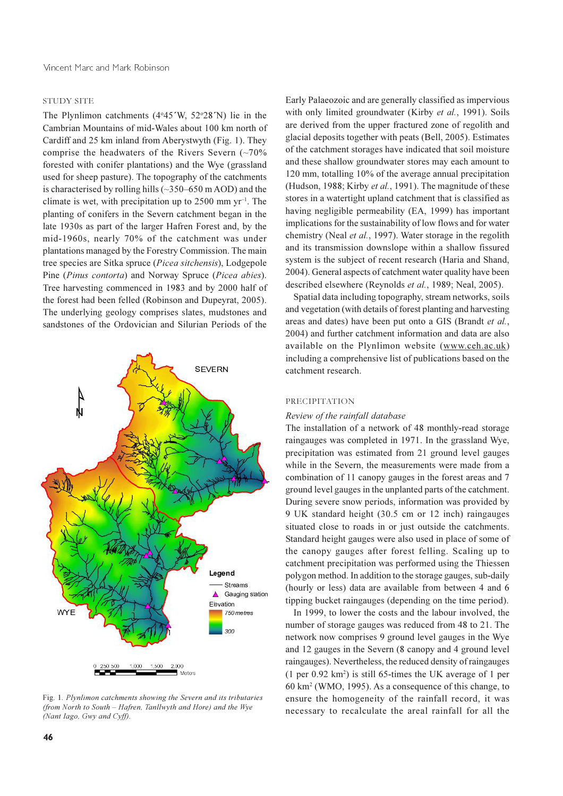#### **STUDY SITE**

The Plynlimon catchments  $(4°45'W, 52°28'N)$  lie in the Cambrian Mountains of mid-Wales about 100 km north of Cardiff and 25 km inland from Aberystwyth (Fig. 1). They comprise the headwaters of the Rivers Severn  $(-70\%$ forested with conifer plantations) and the Wye (grassland used for sheep pasture). The topography of the catchments is characterised by rolling hills  $(\sim 350 - 650 \text{ m AOD})$  and the climate is wet, with precipitation up to 2500 mm  $yr^{-1}$ . The planting of conifers in the Severn catchment began in the late 1930s as part of the larger Hafren Forest and, by the mid-1960s, nearly 70% of the catchment was under plantations managed by the Forestry Commission. The main tree species are Sitka spruce (Picea sitchensis), Lodgepole Pine (Pinus contorta) and Norway Spruce (Picea abies). Tree harvesting commenced in 1983 and by 2000 half of the forest had been felled (Robinson and Dupeyrat, 2005). The underlying geology comprises slates, mudstones and sandstones of the Ordovician and Silurian Periods of the



Fig. 1. Plynlimon catchments showing the Severn and its tributaries (from North to South - Hafren, Tanllwyth and Hore) and the Wye (Nant Iago, Gwy and Cyff).

Early Palaeozoic and are generally classified as impervious with only limited groundwater (Kirby et al., 1991). Soils are derived from the upper fractured zone of regolith and glacial deposits together with peats (Bell, 2005). Estimates of the catchment storages have indicated that soil moisture and these shallow groundwater stores may each amount to 120 mm, totalling 10% of the average annual precipitation (Hudson, 1988; Kirby et al., 1991). The magnitude of these stores in a watertight upland catchment that is classified as having negligible permeability (EA, 1999) has important implications for the sustainability of low flows and for water chemistry (Neal et al., 1997). Water storage in the regolith and its transmission downslope within a shallow fissured system is the subject of recent research (Haria and Shand, 2004). General aspects of catchment water quality have been described elsewhere (Reynolds et al., 1989; Neal, 2005).

Spatial data including topography, stream networks, soils and vegetation (with details of forest planting and harvesting areas and dates) have been put onto a GIS (Brandt et al., 2004) and further catchment information and data are also available on the Plynlimon website (www.ceh.ac.uk) including a comprehensive list of publications based on the catchment research.

#### PRECIPITATION

#### Review of the rainfall database

The installation of a network of 48 monthly-read storage raingauges was completed in 1971. In the grassland Wye, precipitation was estimated from 21 ground level gauges while in the Severn, the measurements were made from a combination of 11 canopy gauges in the forest areas and 7 ground level gauges in the unplanted parts of the catchment. During severe snow periods, information was provided by 9 UK standard height (30.5 cm or 12 inch) raingauges situated close to roads in or just outside the catchments. Standard height gauges were also used in place of some of the canopy gauges after forest felling. Scaling up to catchment precipitation was performed using the Thiessen polygon method. In addition to the storage gauges, sub-daily (hourly or less) data are available from between 4 and 6 tipping bucket raingauges (depending on the time period).

In 1999, to lower the costs and the labour involved, the number of storage gauges was reduced from 48 to 21. The network now comprises 9 ground level gauges in the Wye and 12 gauges in the Severn (8 canopy and 4 ground level raingauges). Nevertheless, the reduced density of raingauges  $(1 \text{ per } 0.92 \text{ km}^2)$  is still 65-times the UK average of 1 per 60 km<sup>2</sup> (WMO, 1995). As a consequence of this change, to ensure the homogeneity of the rainfall record, it was necessary to recalculate the areal rainfall for all the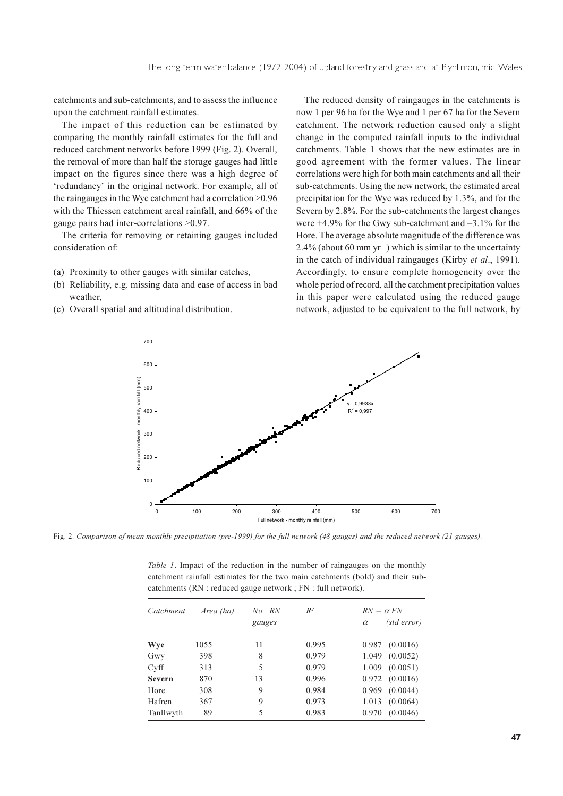catchments and sub-catchments, and to assess the influence upon the catchment rainfall estimates.

The impact of this reduction can be estimated by comparing the monthly rainfall estimates for the full and reduced catchment networks before 1999 (Fig. 2). Overall, the removal of more than half the storage gauges had little impact on the figures since there was a high degree of 'redundancy' in the original network. For example, all of the raingauges in the Wye catchment had a correlation  $>0.96$ with the Thiessen catchment areal rainfall, and 66% of the gauge pairs had inter-correlations  $>0.97$ .

The criteria for removing or retaining gauges included consideration of:

- (a) Proximity to other gauges with similar catches,
- (b) Reliability, e.g. missing data and ease of access in bad weather.
- (c) Overall spatial and altitudinal distribution.

The reduced density of raingauges in the catchments is now 1 per 96 ha for the Wye and 1 per 67 ha for the Severn catchment. The network reduction caused only a slight change in the computed rainfall inputs to the individual catchments. Table 1 shows that the new estimates are in good agreement with the former values. The linear correlations were high for both main catchments and all their sub-catchments. Using the new network, the estimated areal precipitation for the Wye was reduced by 1.3%, and for the Severn by 2.8%. For the sub-catchments the largest changes were  $+4.9\%$  for the Gwy sub-catchment and  $-3.1\%$  for the Hore. The average absolute magnitude of the difference was 2.4% (about 60 mm yr<sup>-1</sup>) which is similar to the uncertainty in the catch of individual raingauges (Kirby et al., 1991). Accordingly, to ensure complete homogeneity over the whole period of record, all the catchment precipitation values in this paper were calculated using the reduced gauge network, adjusted to be equivalent to the full network, by



Fig. 2. Comparison of mean monthly precipitation (pre-1999) for the full network (48 gauges) and the reduced network (21 gauges).

| catchments $(RN : reduced \; gauge \; network : FN : full \; network)$ . |           |                  |       |                                             |  |  |
|--------------------------------------------------------------------------|-----------|------------------|-------|---------------------------------------------|--|--|
| Catchment                                                                | Area (ha) | No. RN<br>gauges | $R^2$ | $RN = \alpha FN$<br>(std error)<br>$\alpha$ |  |  |
| Wye                                                                      | 1055      | 11               | 0.995 | (0.0016)<br>0.987                           |  |  |
| Gwy                                                                      | 398       | 8                | 0.979 | (0.0052)<br>1.049                           |  |  |
| Cyff                                                                     | 313       | 5                | 0.979 | (0.0051)<br>1.009                           |  |  |
| Severn                                                                   | 870       | 13               | 0.996 | $0.972$ $(0.0016)$                          |  |  |
| Hore                                                                     | 308       | 9                | 0.984 | (0.0044)<br>0.969                           |  |  |
| Hafren                                                                   | 367       | 9                | 0.973 | (0.0064)<br>1.013                           |  |  |
| Tanllwyth                                                                | 89        | 5                | 0.983 | (0.0046)<br>0.970                           |  |  |

*Table 1.* Impact of the reduction in the number of raingauges on the monthly catchment rainfall estimates for the two main catchments (bold) and their sub-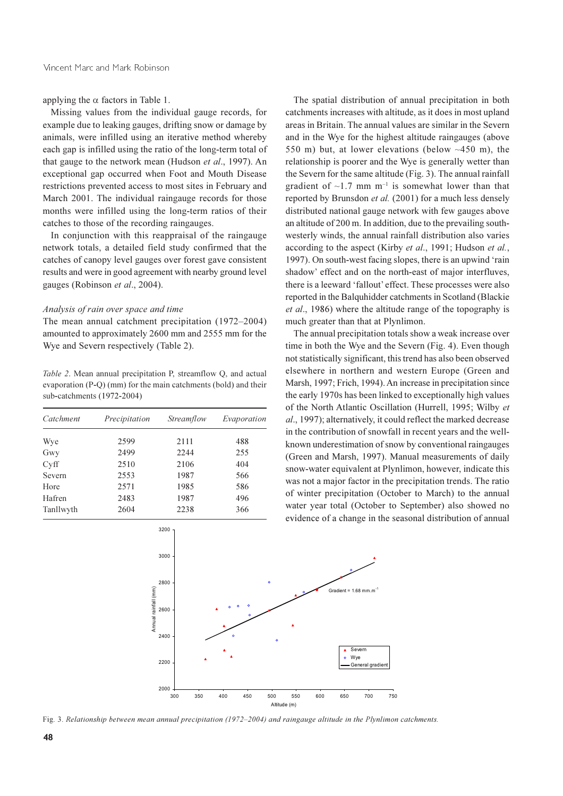applying the  $\alpha$  factors in Table 1.

Missing values from the individual gauge records, for example due to leaking gauges, drifting snow or damage by animals, were infilled using an iterative method whereby each gap is infilled using the ratio of the long-term total of that gauge to the network mean (Hudson *et al.*, 1997). An exceptional gap occurred when Foot and Mouth Disease restrictions prevented access to most sites in February and March 2001. The individual raingauge records for those months were infilled using the long-term ratios of their catches to those of the recording raingauges.

In conjunction with this reappraisal of the raingauge network totals, a detailed field study confirmed that the catches of canopy level gauges over forest gave consistent results and were in good agreement with nearby ground level gauges (Robinson et al., 2004).

#### Analysis of rain over space and time

The mean annual catchment precipitation (1972–2004) amounted to approximately 2600 mm and 2555 mm for the Wye and Severn respectively (Table 2).

Table 2. Mean annual precipitation P, streamflow Q, and actual evaporation (P-Q) (mm) for the main catchments (bold) and their sub-catchments (1972-2004)

| Catchment | Precipitation | Streamflow | Evaporation |  |
|-----------|---------------|------------|-------------|--|
| Wye       | 2599          | 2111       | 488         |  |
| Gwy       | 2499          | 2244       | 255         |  |
| Cyff      | 2510          | 2106       | 404         |  |
| Severn    | 2553          | 1987       | 566         |  |
| Hore      | 2571          | 1985       | 586         |  |
| Hafren    | 2483          | 1987       | 496         |  |
| Tanllwyth | 2604          | 2238       | 366         |  |

The spatial distribution of annual precipitation in both catchments increases with altitude, as it does in most upland areas in Britain. The annual values are similar in the Severn and in the Wye for the highest altitude raingauges (above 550 m) but, at lower elevations (below  $~100$  m), the relationship is poorer and the Wye is generally wetter than the Severn for the same altitude (Fig. 3). The annual rainfall gradient of  $\sim$ 1.7 mm m<sup>-1</sup> is somewhat lower than that reported by Brunsdon et al. (2001) for a much less densely distributed national gauge network with few gauges above an altitude of 200 m. In addition, due to the prevailing southwesterly winds, the annual rainfall distribution also varies according to the aspect (Kirby et al., 1991; Hudson et al., 1997). On south-west facing slopes, there is an upwind 'rain shadow' effect and on the north-east of major interfluves, there is a leeward 'fallout' effect. These processes were also reported in the Balguhidder catchments in Scotland (Blackie et al., 1986) where the altitude range of the topography is much greater than that at Plynlimon.

The annual precipitation totals show a weak increase over time in both the Wye and the Severn (Fig. 4). Even though not statistically significant, this trend has also been observed elsewhere in northern and western Europe (Green and Marsh, 1997; Frich, 1994). An increase in precipitation since the early 1970s has been linked to exceptionally high values of the North Atlantic Oscillation (Hurrell, 1995; Wilby et al., 1997); alternatively, it could reflect the marked decrease in the contribution of snowfall in recent years and the wellknown underestimation of snow by conventional raingauges (Green and Marsh, 1997). Manual measurements of daily snow-water equivalent at Plynlimon, however, indicate this was not a major factor in the precipitation trends. The ratio of winter precipitation (October to March) to the annual water year total (October to September) also showed no evidence of a change in the seasonal distribution of annual



Fig. 3. Relationship between mean annual precipitation (1972–2004) and raingauge altitude in the Plynlimon catchments.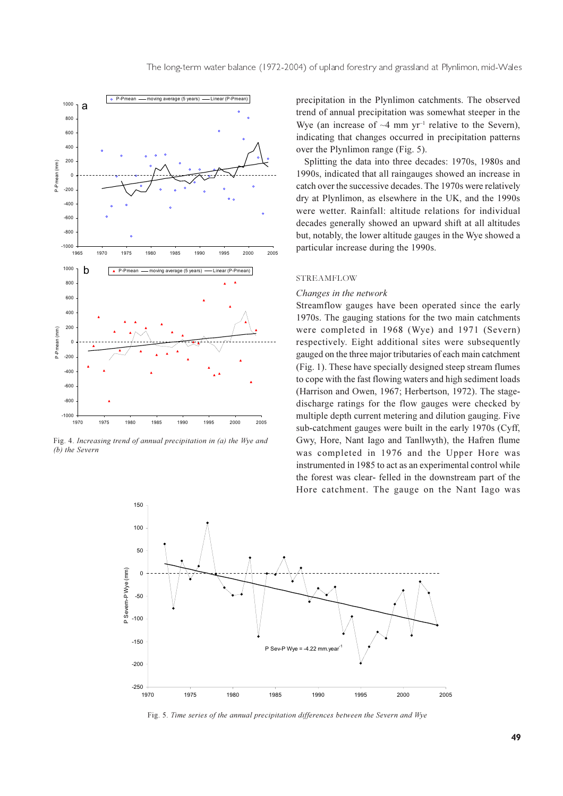

Fig. 4. Increasing trend of annual precipitation in (a) the Wye and (b) the Severn

precipitation in the Plynlimon catchments. The observed trend of annual precipitation was somewhat steeper in the Wye (an increase of  $\sim$ 4 mm yr<sup>-1</sup> relative to the Severn), indicating that changes occurred in precipitation patterns over the Plynlimon range (Fig. 5).

Splitting the data into three decades: 1970s, 1980s and 1990s, indicated that all raingauges showed an increase in catch over the successive decades. The 1970s were relatively dry at Plynlimon, as elsewhere in the UK, and the 1990s were wetter. Rainfall: altitude relations for individual decades generally showed an upward shift at all altitudes but, notably, the lower altitude gauges in the Wye showed a particular increase during the 1990s.

#### **STREAMFLOW**

#### Changes in the network

Streamflow gauges have been operated since the early 1970s. The gauging stations for the two main catchments were completed in 1968 (Wye) and 1971 (Severn) respectively. Eight additional sites were subsequently gauged on the three major tributaries of each main catchment (Fig. 1). These have specially designed steep stream flumes to cope with the fast flowing waters and high sediment loads (Harrison and Owen, 1967; Herbertson, 1972). The stagedischarge ratings for the flow gauges were checked by multiple depth current metering and dilution gauging. Five sub-catchment gauges were built in the early 1970s (Cyff, Gwy, Hore, Nant Iago and Tanllwyth), the Hafren flume was completed in 1976 and the Upper Hore was instrumented in 1985 to act as an experimental control while the forest was clear- felled in the downstream part of the Hore catchment. The gauge on the Nant Iago was



Fig. 5. Time series of the annual precipitation differences between the Severn and Wye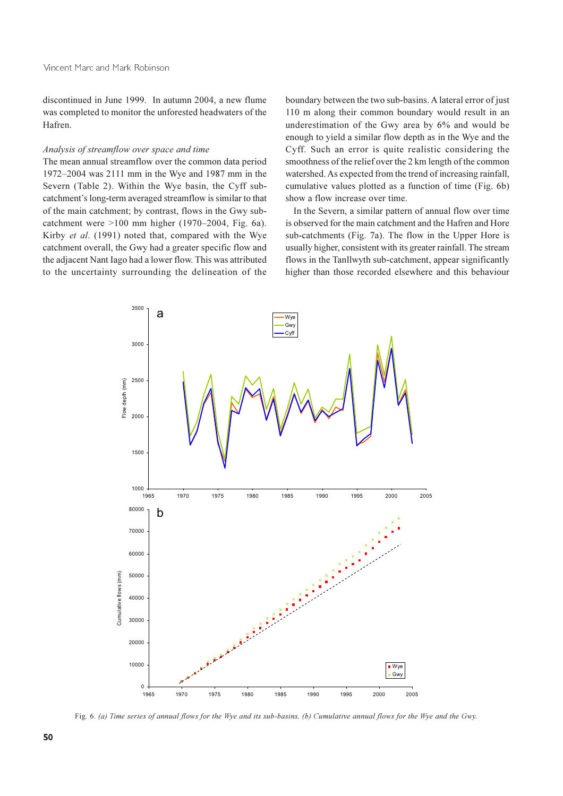discontinued in June 1999. In autumn 2004, a new flume was completed to monitor the unforested headwaters of the Hafren.

#### Analysis of streamflow over space and time

The mean annual streamflow over the common data period 1972–2004 was 2111 mm in the Wye and 1987 mm in the Severn (Table 2). Within the Wye basin, the Cyff subcatchment's long-term averaged streamflow is similar to that of the main catchment; by contrast, flows in the Gwy subcatchment were  $>100$  mm higher (1970–2004, Fig. 6a). Kirby et al. (1991) noted that, compared with the Wye catchment overall, the Gwy had a greater specific flow and the adjacent Nant Iago had a lower flow. This was attributed to the uncertainty surrounding the delineation of the

boundary between the two sub-basins. A lateral error of just 110 m along their common boundary would result in an underestimation of the Gwy area by 6% and would be enough to yield a similar flow depth as in the Wye and the Cyff. Such an error is quite realistic considering the smoothness of the relief over the 2 km length of the common watershed. As expected from the trend of increasing rainfall, cumulative values plotted as a function of time (Fig. 6b) show a flow increase over time.

In the Severn, a similar pattern of annual flow over time is observed for the main catchment and the Hafren and Hore sub-catchments (Fig. 7a). The flow in the Upper Hore is usually higher, consistent with its greater rainfall. The stream flows in the Tanllwyth sub-catchment, appear significantly higher than those recorded elsewhere and this behaviour



Fig. 6. (a) Time series of annual flows for the Wye and its sub-basins, (b) Cumulative annual flows for the Wye and the Gwy.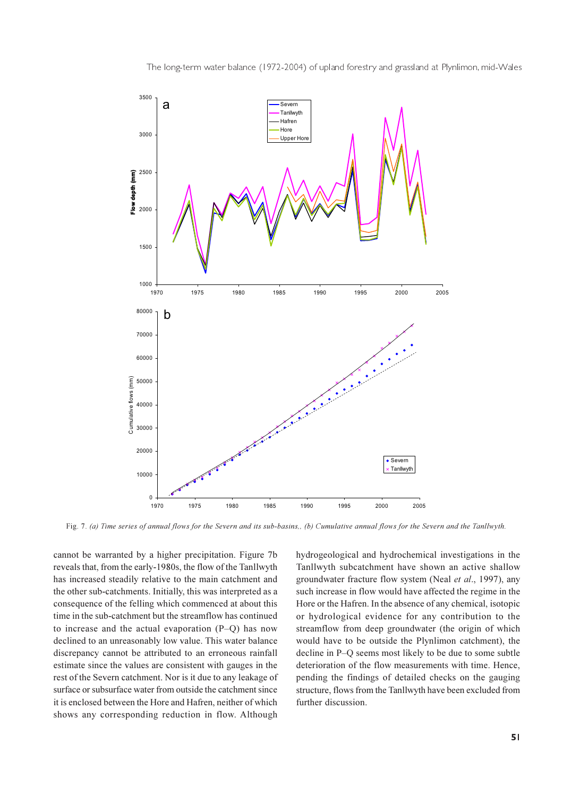



Fig. 7. (a) Time series of annual flows for the Severn and its sub-basins,, (b) Cumulative annual flows for the Severn and the Tanllwyth.

cannot be warranted by a higher precipitation. Figure 7b reveals that, from the early-1980s, the flow of the Tanllwyth has increased steadily relative to the main catchment and the other sub-catchments. Initially, this was interpreted as a consequence of the felling which commenced at about this time in the sub-catchment but the streamflow has continued to increase and the actual evaporation  $(P-O)$  has now declined to an unreasonably low value. This water balance discrepancy cannot be attributed to an erroneous rainfall estimate since the values are consistent with gauges in the rest of the Severn catchment. Nor is it due to any leakage of surface or subsurface water from outside the catchment since it is enclosed between the Hore and Hafren, neither of which shows any corresponding reduction in flow. Although

hydrogeological and hydrochemical investigations in the Tanllwyth subcatchment have shown an active shallow groundwater fracture flow system (Neal et al., 1997), any such increase in flow would have affected the regime in the Hore or the Hafren. In the absence of any chemical, isotopic or hydrological evidence for any contribution to the streamflow from deep groundwater (the origin of which would have to be outside the Plynlimon catchment), the decline in P-O seems most likely to be due to some subtle deterioration of the flow measurements with time. Hence, pending the findings of detailed checks on the gauging structure, flows from the Tanllwyth have been excluded from further discussion.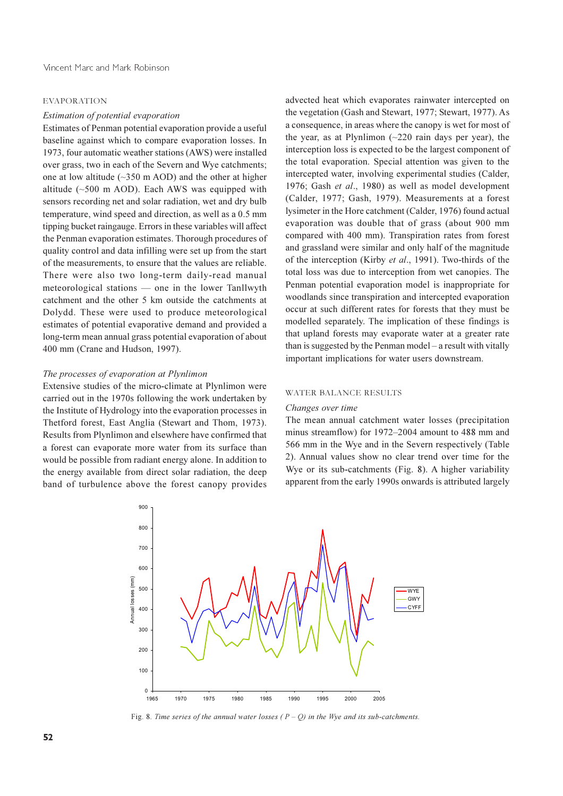#### **EVAPORATION**

#### Estimation of potential evaporation

Estimates of Penman potential evaporation provide a useful baseline against which to compare evaporation losses. In 1973, four automatic weather stations (AWS) were installed over grass, two in each of the Severn and Wye catchments; one at low altitude ( $\sim$ 350 m AOD) and the other at higher altitude  $(\sim 500 \text{ m } \text{AOD})$ . Each AWS was equipped with sensors recording net and solar radiation, wet and dry bulb temperature, wind speed and direction, as well as a 0.5 mm tipping bucket raingauge. Errors in these variables will affect the Penman evaporation estimates. Thorough procedures of quality control and data infilling were set up from the start of the measurements, to ensure that the values are reliable. There were also two long-term daily-read manual meteorological stations — one in the lower Tanllwyth catchment and the other 5 km outside the catchments at Dolydd. These were used to produce meteorological estimates of potential evaporative demand and provided a long-term mean annual grass potential evaporation of about 400 mm (Crane and Hudson, 1997).

#### The processes of evaporation at Plynlimon

Extensive studies of the micro-climate at Plynlimon were carried out in the 1970s following the work undertaken by the Institute of Hydrology into the evaporation processes in Thetford forest, East Anglia (Stewart and Thom, 1973). Results from Plynlimon and elsewhere have confirmed that a forest can evaporate more water from its surface than would be possible from radiant energy alone. In addition to the energy available from direct solar radiation, the deep band of turbulence above the forest canopy provides

advected heat which evaporates rainwater intercepted on the vegetation (Gash and Stewart, 1977; Stewart, 1977). As a consequence, in areas where the canopy is wet for most of the year, as at Plynlimon  $(\sim 220$  rain days per year), the interception loss is expected to be the largest component of the total evaporation. Special attention was given to the intercepted water, involving experimental studies (Calder, 1976; Gash et al., 1980) as well as model development (Calder, 1977; Gash, 1979). Measurements at a forest lysimeter in the Hore catchment (Calder, 1976) found actual evaporation was double that of grass (about 900 mm compared with 400 mm). Transpiration rates from forest and grassland were similar and only half of the magnitude of the interception (Kirby et al., 1991). Two-thirds of the total loss was due to interception from wet canopies. The Penman potential evaporation model is inappropriate for woodlands since transpiration and intercepted evaporation occur at such different rates for forests that they must be modelled separately. The implication of these findings is that upland forests may evaporate water at a greater rate than is suggested by the Penman model - a result with vitally important implications for water users downstream.

#### **WATER BALANCE RESULTS**

#### Changes over time

The mean annual catchment water losses (precipitation minus streamflow) for 1972–2004 amount to 488 mm and 566 mm in the Wye and in the Severn respectively (Table 2). Annual values show no clear trend over time for the Wye or its sub-catchments (Fig. 8). A higher variability apparent from the early 1990s onwards is attributed largely



Fig. 8. Time series of the annual water losses  $(P - Q)$  in the Wye and its sub-catchments.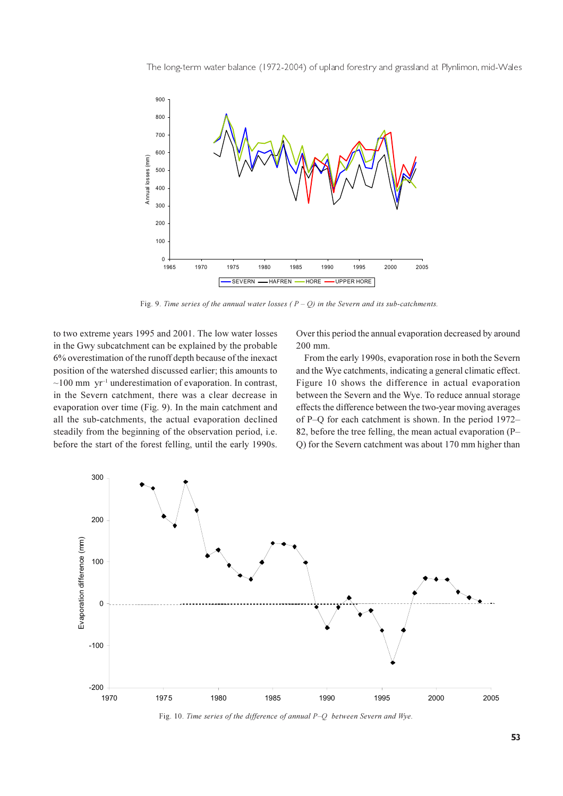The long-term water balance (1972-2004) of upland forestry and grassland at Plynlimon, mid-Wales



Fig. 9. Time series of the annual water losses ( $P - Q$ ) in the Severn and its sub-catchments.

to two extreme years 1995 and 2001. The low water losses in the Gwy subcatchment can be explained by the probable 6% overestimation of the runoff depth because of the inexact position of the watershed discussed earlier; this amounts to  $\sim$ 100 mm yr<sup>-1</sup> underestimation of evaporation. In contrast, in the Severn catchment, there was a clear decrease in evaporation over time (Fig. 9). In the main catchment and all the sub-catchments, the actual evaporation declined steadily from the beginning of the observation period, *i.e.* before the start of the forest felling, until the early 1990s. Over this period the annual evaporation decreased by around 200 mm.

From the early 1990s, evaporation rose in both the Severn and the Wye catchments, indicating a general climatic effect. Figure 10 shows the difference in actual evaporation between the Severn and the Wye. To reduce annual storage effects the difference between the two-year moving averages of P–O for each catchment is shown. In the period 1972– 82, before the tree felling, the mean actual evaporation (P-Q) for the Severn catchment was about 170 mm higher than



Fig. 10. Time series of the difference of annual P-Q between Severn and Wye.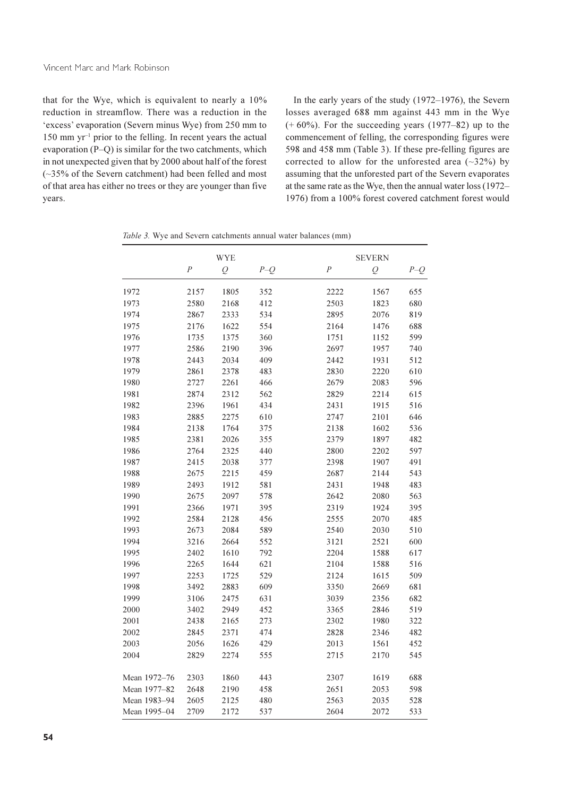### Vincent Marc and Mark Robinson

that for the Wye, which is equivalent to nearly a 10% reduction in streamflow. There was a reduction in the 'excess' evaporation (Severn minus Wye) from 250 mm to  $150$  mm yr<sup>-1</sup> prior to the felling. In recent years the actual evaporation (P-Q) is similar for the two catchments, which in not unexpected given that by 2000 about half of the forest  $(-35\%$  of the Severn catchment) had been felled and most of that area has either no trees or they are younger than five years.

In the early years of the study  $(1972-1976)$ , the Severn losses averaged 688 mm against 443 mm in the Wye  $(+ 60\%)$ . For the succeeding years (1977–82) up to the commencement of felling, the corresponding figures were 598 and 458 mm (Table 3). If these pre-felling figures are corrected to allow for the unforested area  $(\sim 32\%)$  by assuming that the unforested part of the Severn evaporates at the same rate as the Wye, then the annual water loss (1972– 1976) from a 100% forest covered catchment forest would

|  |  |  | Table 3. Wye and Severn catchments annual water balances (mm) |  |  |  |
|--|--|--|---------------------------------------------------------------|--|--|--|
|--|--|--|---------------------------------------------------------------|--|--|--|

|              | WYE              |                |       | <b>SEVERN</b>  |                |       |
|--------------|------------------|----------------|-------|----------------|----------------|-------|
|              | $\boldsymbol{P}$ | $\overline{Q}$ | $P-Q$ | $\overline{P}$ | $\overline{Q}$ | $P-Q$ |
| 1972         | 2157             | 1805           | 352   | 2222           | 1567           | 655   |
| 1973         | 2580             | 2168           | 412   | 2503           | 1823           | 680   |
| 1974         | 2867             | 2333           | 534   | 2895           | 2076           | 819   |
| 1975         | 2176             | 1622           | 554   | 2164           | 1476           | 688   |
| 1976         | 1735             | 1375           | 360   | 1751           | 1152           | 599   |
| 1977         | 2586             | 2190           | 396   | 2697           | 1957           | 740   |
| 1978         | 2443             | 2034           | 409   | 2442           | 1931           | 512   |
| 1979         | 2861             | 2378           | 483   | 2830           | 2220           | 610   |
| 1980         | 2727             | 2261           | 466   | 2679           | 2083           | 596   |
| 1981         | 2874             | 2312           | 562   | 2829           | 2214           | 615   |
| 1982         | 2396             | 1961           | 434   | 2431           | 1915           | 516   |
| 1983         | 2885             | 2275           | 610   | 2747           | 2101           | 646   |
| 1984         | 2138             | 1764           | 375   | 2138           | 1602           | 536   |
| 1985         | 2381             | 2026           | 355   | 2379           | 1897           | 482   |
| 1986         | 2764             | 2325           | 440   | 2800           | 2202           | 597   |
| 1987         | 2415             | 2038           | 377   | 2398           | 1907           | 491   |
| 1988         | 2675             | 2215           | 459   | 2687           | 2144           | 543   |
| 1989         | 2493             | 1912           | 581   | 2431           | 1948           | 483   |
| 1990         | 2675             | 2097           | 578   | 2642           | 2080           | 563   |
| 1991         | 2366             | 1971           | 395   | 2319           | 1924           | 395   |
| 1992         | 2584             | 2128           | 456   | 2555           | 2070           | 485   |
| 1993         | 2673             | 2084           | 589   | 2540           | 2030           | 510   |
| 1994         | 3216             | 2664           | 552   | 3121           | 2521           | 600   |
| 1995         | 2402             | 1610           | 792   | 2204           | 1588           | 617   |
| 1996         | 2265             | 1644           | 621   | 2104           | 1588           | 516   |
| 1997         | 2253             | 1725           | 529   | 2124           | 1615           | 509   |
| 1998         | 3492             | 2883           | 609   | 3350           | 2669           | 681   |
| 1999         | 3106             | 2475           | 631   | 3039           | 2356           | 682   |
| 2000         | 3402             | 2949           | 452   | 3365           | 2846           | 519   |
| 2001         | 2438             | 2165           | 273   | 2302           | 1980           | 322   |
| 2002         | 2845             | 2371           | 474   | 2828           | 2346           | 482   |
| 2003         | 2056             | 1626           | 429   | 2013           | 1561           | 452   |
| 2004         | 2829             | 2274           | 555   | 2715           | 2170           | 545   |
| Mean 1972-76 | 2303             | 1860           | 443   | 2307           | 1619           | 688   |
| Mean 1977-82 | 2648             | 2190           | 458   | 2651           | 2053           | 598   |
| Mean 1983-94 | 2605             | 2125           | 480   | 2563           | 2035           | 528   |
| Mean 1995-04 | 2709             | 2172           | 537   | 2604           | 2072           | 533   |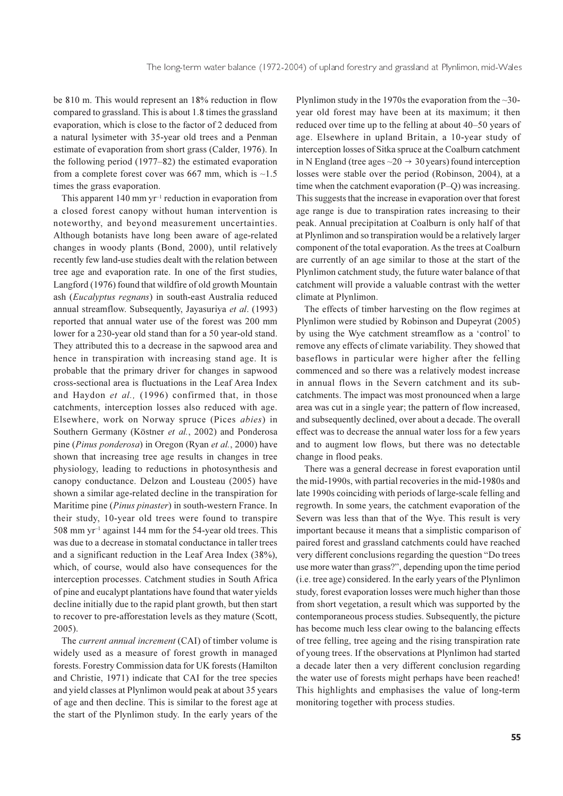be 810 m. This would represent an 18% reduction in flow compared to grassland. This is about 1.8 times the grassland evaporation, which is close to the factor of 2 deduced from a natural lysimeter with 35-year old trees and a Penman estimate of evaporation from short grass (Calder, 1976). In the following period  $(1977-82)$  the estimated evaporation from a complete forest cover was 667 mm, which is  $\sim$ 1.5 times the grass evaporation.

This apparent  $140 \text{ mm yr}^{-1}$  reduction in evaporation from a closed forest canopy without human intervention is noteworthy, and beyond measurement uncertainties. Although botanists have long been aware of age-related changes in woody plants (Bond, 2000), until relatively recently few land-use studies dealt with the relation between tree age and evaporation rate. In one of the first studies, Langford (1976) found that wildfire of old growth Mountain ash (Eucalyptus regnans) in south-east Australia reduced annual streamflow. Subsequently, Jayasuriya et al. (1993) reported that annual water use of the forest was 200 mm lower for a 230-year old stand than for a 50 year-old stand. They attributed this to a decrease in the sapwood area and hence in transpiration with increasing stand age. It is probable that the primary driver for changes in sapwood cross-sectional area is fluctuations in the Leaf Area Index and Haydon et al., (1996) confirmed that, in those catchments, interception losses also reduced with age. Elsewhere, work on Norway spruce (Pices abies) in Southern Germany (Köstner et al., 2002) and Ponderosa pine (Pinus ponderosa) in Oregon (Ryan et al., 2000) have shown that increasing tree age results in changes in tree physiology, leading to reductions in photosynthesis and canopy conductance. Delzon and Lousteau (2005) have shown a similar age-related decline in the transpiration for Maritime pine (*Pinus pinaster*) in south-western France. In their study, 10-year old trees were found to transpire  $508$  mm yr<sup>-1</sup> against 144 mm for the 54-year old trees. This was due to a decrease in stomatal conductance in taller trees and a significant reduction in the Leaf Area Index (38%), which, of course, would also have consequences for the interception processes. Catchment studies in South Africa of pine and eucalypt plantations have found that water yields decline initially due to the rapid plant growth, but then start to recover to pre-afforestation levels as they mature (Scott,  $2005$ ).

The *current annual increment* (CAI) of timber volume is widely used as a measure of forest growth in managed forests. Forestry Commission data for UK forests (Hamilton and Christie, 1971) indicate that CAI for the tree species and yield classes at Plynlimon would peak at about 35 years of age and then decline. This is similar to the forest age at the start of the Plynlimon study. In the early years of the

Plynlimon study in the 1970s the evaporation from the  $\sim$ 30year old forest may have been at its maximum; it then reduced over time up to the felling at about 40–50 years of age. Elsewhere in upland Britain, a 10-year study of interception losses of Sitka spruce at the Coalburn catchment in N England (tree ages  $\sim$  20  $\rightarrow$  30 years) found interception losses were stable over the period (Robinson, 2004), at a time when the catchment evaporation (P-Q) was increasing. This suggests that the increase in evaporation over that forest age range is due to transpiration rates increasing to their peak. Annual precipitation at Coalburn is only half of that at Plynlimon and so transpiration would be a relatively larger component of the total evaporation. As the trees at Coalburn are currently of an age similar to those at the start of the Plynlimon catchment study, the future water balance of that catchment will provide a valuable contrast with the wetter climate at Plynlimon.

The effects of timber harvesting on the flow regimes at Plynlimon were studied by Robinson and Dupeyrat (2005) by using the Wye catchment streamflow as a 'control' to remove any effects of climate variability. They showed that baseflows in particular were higher after the felling commenced and so there was a relatively modest increase in annual flows in the Severn catchment and its subcatchments. The impact was most pronounced when a large area was cut in a single year; the pattern of flow increased, and subsequently declined, over about a decade. The overall effect was to decrease the annual water loss for a few years and to augment low flows, but there was no detectable change in flood peaks.

There was a general decrease in forest evaporation until the mid-1990s, with partial recoveries in the mid-1980s and late 1990s coinciding with periods of large-scale felling and regrowth. In some years, the catchment evaporation of the Severn was less than that of the Wye. This result is very important because it means that a simplistic comparison of paired forest and grassland catchments could have reached very different conclusions regarding the question "Do trees use more water than grass?", depending upon the time period (i.e. tree age) considered. In the early years of the Plynlimon study, forest evaporation losses were much higher than those from short vegetation, a result which was supported by the contemporaneous process studies. Subsequently, the picture has become much less clear owing to the balancing effects of tree felling, tree ageing and the rising transpiration rate of young trees. If the observations at Plynlimon had started a decade later then a very different conclusion regarding the water use of forests might perhaps have been reached! This highlights and emphasises the value of long-term monitoring together with process studies.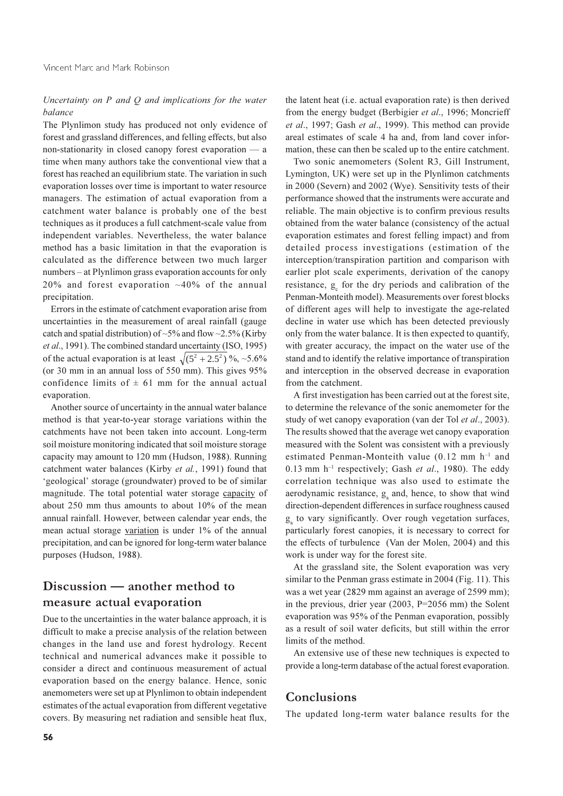### Uncertainty on  $P$  and  $Q$  and implications for the water balance

The Plynlimon study has produced not only evidence of forest and grassland differences, and felling effects, but also non-stationarity in closed canopy forest evaporation - a time when many authors take the conventional view that a forest has reached an equilibrium state. The variation in such evaporation losses over time is important to water resource managers. The estimation of actual evaporation from a catchment water balance is probably one of the best techniques as it produces a full catchment-scale value from independent variables. Nevertheless, the water balance method has a basic limitation in that the evaporation is calculated as the difference between two much larger numbers – at Plynlimon grass evaporation accounts for only 20% and forest evaporation  $~10\%$  of the annual precipitation.

Errors in the estimate of catchment evaporation arise from uncertainties in the measurement of areal rainfall (gauge catch and spatial distribution) of ~5% and flow ~2.5% (Kirby et al., 1991). The combined standard uncertainty (ISO, 1995) of the actual evaporation is at least  $\sqrt{(5^2 + 2.5^2)}$  %, ~5.6% (or 30 mm in an annual loss of 550 mm). This gives 95% confidence limits of  $\pm$  61 mm for the annual actual evaporation.

Another source of uncertainty in the annual water balance method is that year-to-year storage variations within the catchments have not been taken into account. Long-term soil moisture monitoring indicated that soil moisture storage capacity may amount to 120 mm (Hudson, 1988). Running catchment water balances (Kirby et al., 1991) found that 'geological' storage (groundwater) proved to be of similar magnitude. The total potential water storage capacity of about 250 mm thus amounts to about 10% of the mean annual rainfall. However, between calendar year ends, the mean actual storage variation is under 1% of the annual precipitation, and can be ignored for long-term water balance purposes (Hudson, 1988).

# Discussion — another method to measure actual evaporation

Due to the uncertainties in the water balance approach, it is difficult to make a precise analysis of the relation between changes in the land use and forest hydrology. Recent technical and numerical advances make it possible to consider a direct and continuous measurement of actual evaporation based on the energy balance. Hence, sonic anemometers were set up at Plynlimon to obtain independent estimates of the actual evaporation from different vegetative covers. By measuring net radiation and sensible heat flux,

the latent heat (i.e. actual evaporation rate) is then derived from the energy budget (Berbigier et al., 1996; Moncrieff et al., 1997; Gash et al., 1999). This method can provide areal estimates of scale 4 ha and, from land cover information, these can then be scaled up to the entire catchment.

Two sonic anemometers (Solent R3, Gill Instrument, Lymington, UK) were set up in the Plynlimon catchments in 2000 (Severn) and 2002 (Wye). Sensitivity tests of their performance showed that the instruments were accurate and reliable. The main objective is to confirm previous results obtained from the water balance (consistency of the actual evaporation estimates and forest felling impact) and from detailed process investigations (estimation of the interception/transpiration partition and comparison with earlier plot scale experiments, derivation of the canopy resistance, g for the dry periods and calibration of the Penman-Monteith model). Measurements over forest blocks of different ages will help to investigate the age-related decline in water use which has been detected previously only from the water balance. It is then expected to quantify, with greater accuracy, the impact on the water use of the stand and to identify the relative importance of transpiration and interception in the observed decrease in evaporation from the catchment.

A first investigation has been carried out at the forest site. to determine the relevance of the sonic anemometer for the study of wet can opy evaporation (van der Tol et al., 2003). The results showed that the average wet can opy evaporation measured with the Solent was consistent with a previously estimated Penman-Monteith value (0.12 mm h<sup>-1</sup> and 0.13 mm  $h^{-1}$  respectively; Gash et al., 1980). The eddy correlation technique was also used to estimate the aerodynamic resistance, g<sub>2</sub> and, hence, to show that wind direction-dependent differences in surface roughness caused g to vary significantly. Over rough vegetation surfaces, particularly forest canopies, it is necessary to correct for the effects of turbulence (Van der Molen, 2004) and this work is under way for the forest site.

At the grassland site, the Solent evaporation was very similar to the Penman grass estimate in 2004 (Fig. 11). This was a wet year (2829 mm against an average of 2599 mm); in the previous, drier year  $(2003, P=2056)$  mm) the Solent evaporation was 95% of the Penman evaporation, possibly as a result of soil water deficits, but still within the error limits of the method.

An extensive use of these new techniques is expected to provide a long-term database of the actual forest evaporation.

### Conclusions

The updated long-term water balance results for the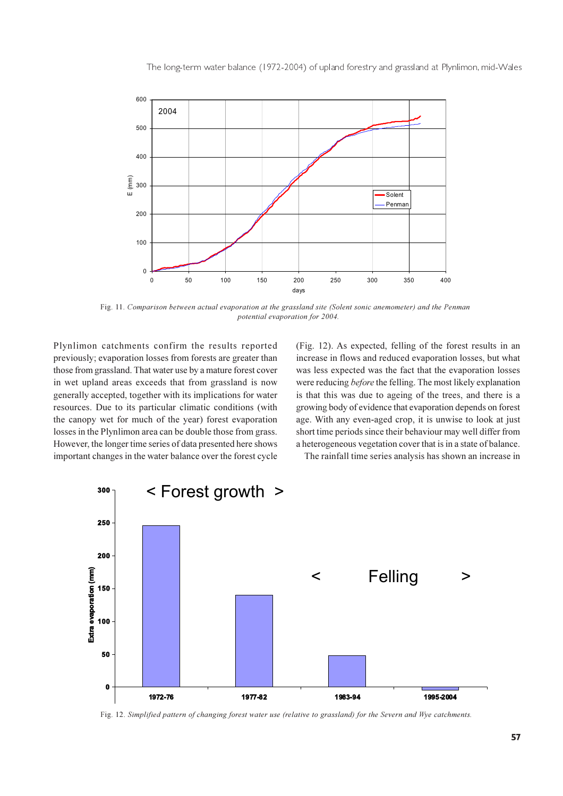

Fig. 11. Comparison between actual evaporation at the grassland site (Solent sonic anemometer) and the Penman potential evaporation for 2004.

Plynlimon catchments confirm the results reported previously; evaporation losses from forests are greater than those from grassland. That water use by a mature forest cover in wet upland areas exceeds that from grassland is now generally accepted, together with its implications for water resources. Due to its particular climatic conditions (with the canopy wet for much of the year) forest evaporation losses in the Plynlimon area can be double those from grass. However, the longer time series of data presented here shows important changes in the water balance over the forest cycle (Fig. 12). As expected, felling of the forest results in an increase in flows and reduced evaporation losses, but what was less expected was the fact that the evaporation losses were reducing *before* the felling. The most likely explanation is that this was due to ageing of the trees, and there is a growing body of evidence that evaporation depends on forest age. With any even-aged crop, it is unwise to look at just short time periods since their behaviour may well differ from a heterogeneous vegetation cover that is in a state of balance.

The rainfall time series analysis has shown an increase in



Fig. 12. Simplified pattern of changing forest water use (relative to grassland) for the Severn and Wye catchments.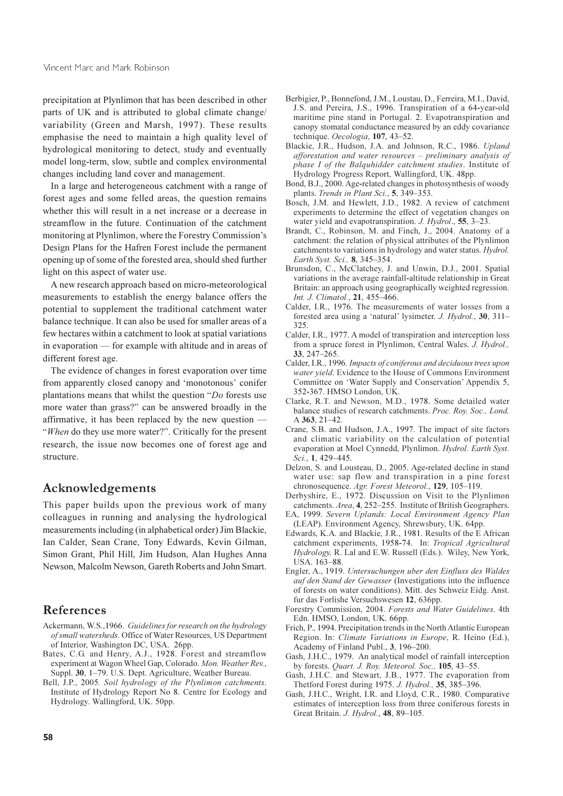precipitation at Plynlimon that has been described in other parts of UK and is attributed to global climate change/ variability (Green and Marsh, 1997). These results emphasise the need to maintain a high quality level of hydrological monitoring to detect, study and eventually model long-term, slow, subtle and complex environmental changes including land cover and management.

In a large and heterogeneous catchment with a range of forest ages and some felled areas, the question remains whether this will result in a net increase or a decrease in streamflow in the future. Continuation of the catchment monitoring at Plynlimon, where the Forestry Commission's Design Plans for the Hafren Forest include the permanent opening up of some of the forested area, should shed further light on this aspect of water use.

A new research approach based on micro-meteorological measurements to establish the energy balance offers the potential to supplement the traditional catchment water balance technique. It can also be used for smaller areas of a few hectares within a catchment to look at spatial variations in evaporation — for example with altitude and in areas of different forest age.

The evidence of changes in forest evaporation over time from apparently closed canopy and 'monotonous' conifer plantations means that whilst the question " $Do$  forests use more water than grass?" can be answered broadly in the affirmative, it has been replaced by the new question — "When do they use more water?". Critically for the present research, the issue now becomes one of forest age and structure.

# Acknowledgements

This paper builds upon the previous work of many colleagues in running and analysing the hydrological measurements including (in alphabetical order) Jim Blackie, Ian Calder, Sean Crane, Tony Edwards, Kevin Gilman, Simon Grant, Phil Hill, Jim Hudson, Alan Hughes Anna Newson, Malcolm Newson, Gareth Roberts and John Smart.

# References

- Ackermann, W.S., 1966. Guidelines for research on the hydrology of small watersheds. Office of Water Resources, US Department of Interior, Washington DC, USA. 26pp.
- Bates, C.G. and Henry, A.J., 1928. Forest and streamflow experiment at Wagon Wheel Gap, Colorado. Mon. Weather Rev., Suppl. 30, 1-79. U.S. Dept. Agriculture, Weather Bureau.
- Bell, J.P., 2005. Soil hydrology of the Plynlimon catchments. Institute of Hydrology Report No 8. Centre for Ecology and Hydrology. Wallingford, UK. 50pp.
- Berbigier, P., Bonnefond, J.M., Loustau, D., Ferreira, M.I., David, J.S. and Pereira, J.S., 1996. Transpiration of a 64-year-old maritime pine stand in Portugal. 2. Evapotranspiration and canopy stomatal conductance measured by an eddy covariance technique. Oecologia, 107, 43-52.
- Blackie, J.R., Hudson, J.A. and Johnson, R.C., 1986. Upland afforestation and water resources - preliminary analysis of phase I of the Balauhidder catchment studies. Institute of Hydrology Progress Report, Wallingford, UK. 48pp.
- Bond, B.J., 2000. Age-related changes in photosynthesis of woody plants. Trends in Plant Sci., 5, 349-353.
- Bosch, J.M. and Hewlett, J.D., 1982. A review of catchment experiments to determine the effect of vegetation changes on water yield and evapotranspiration. J. Hydrol., 55, 3–23.
- Brandt, C., Robinson, M. and Finch, J., 2004. Anatomy of a catchment: the relation of physical attributes of the Plynlimon catchments to variations in hydrology and water status. Hydrol. Earth Syst. Sci., 8, 345-354.
- Brunsdon, C., McClatchey, J. and Unwin, D.J., 2001. Spatial variations in the average rainfall-altitude relationship in Great Britain: an approach using geographically weighted regression. Int. J. Climatol., 21, 455-466.
- Calder, I.R., 1976. The measurements of water losses from a forested area using a 'natural' lysimeter. J. Hydrol., 30, 311-325
- Calder, I.R., 1977. A model of transpiration and interception loss from a spruce forest in Plynlimon, Central Wales. J. Hydrol.,  $33.247 - 265$
- Calder, I.R., 1996. Impacts of coniferous and deciduous trees upon water yield. Evidence to the House of Commons Environment Committee on 'Water Supply and Conservation' Appendix 5, 352-367. HMSO London, UK.
- Clarke, R.T. and Newson, M.D., 1978. Some detailed water balance studies of research catchments. Proc. Rov. Soc., Lond. A 363, 21-42.
- Crane, S.B. and Hudson, J.A., 1997. The impact of site factors and climatic variability on the calculation of potential evaporation at Moel Cynnedd, Plynlimon. Hydrol. Earth Syst. Sci., 1, 429-445.
- Delzon, S. and Lousteau, D., 2005. Age-related decline in stand water use: sap flow and transpiration in a pine forest chronosequence. Agr. Forest Meteorol., 129, 105-119.
- Derbyshire, E., 1972. Discussion on Visit to the Plynlimon catchments. Area, 4, 252-255. Institute of British Geographers.
- EA, 1999. Severn Uplands: Local Environment Agency Plan (LEAP). Environment Agency, Shrewsbury, UK. 64pp.
- Edwards, K.A. and Blackie, J.R., 1981. Results of the E African catchment experiments, 1958-74. In: Tropical Agricultural Hydrology, R. Lal and E.W. Russell (Eds.). Wiley, New York, USA. 163-88.
- Engler, A., 1919. Untersuchungen uber den Einfluss des Waldes auf den Stand der Gewasser (Investigations into the influence of forests on water conditions). Mitt. des Schweiz Eidg. Anst. fur das Forlishe Versuchswesen 12, 636pp.
- Forestry Commission, 2004. Forests and Water Guidelines. 4th Edn. HMSO, London, UK. 66pp.
- Frich, P., 1994. Precipitation trends in the North Atlantic European Region. In: Climate Variations in Europe, R. Heino (Ed.). Academy of Finland Publ., 3, 196-200.
- Gash, J.H.C., 1979. An analytical model of rainfall interception by forests. Quart. J. Roy. Meteorol. Soc., 105, 43-55.
- Gash, J.H.C. and Stewart, J.B., 1977. The evaporation from Thetford Forest during 1975. J. Hydrol., 35, 385-396.
- Gash, J.H.C., Wright, I.R. and Lloyd, C.R., 1980. Comparative estimates of interception loss from three coniferous forests in Great Britain. J. Hydrol., 48, 89-105.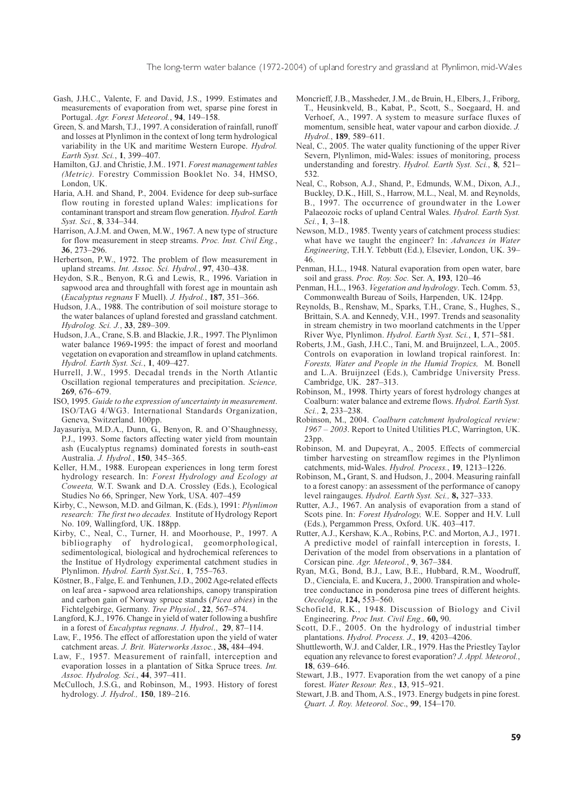- Gash, J.H.C., Valente, F. and David, J.S., 1999. Estimates and measurements of evaporation from wet, sparse pine forest in Portugal. Agr. Forest Meteorol., 94, 149-158.
- Green, S. and Marsh, T.J., 1997. A consideration of rainfall, runoff and losses at Plynlimon in the context of long term hydrological variability in the UK and maritime Western Europe. Hydrol. Earth Syst. Sci., 1, 399-407.
- Hamilton, G.J. and Christie, J.M., 1971. Forest management tables (Metric). Forestry Commission Booklet No. 34, HMSO, London, UK.
- Haria, A.H. and Shand, P., 2004. Evidence for deep sub-surface flow routing in forested upland Wales: implications for contaminant transport and stream flow generation. Hydrol. Earth Syst. Sci., 8, 334-344.
- Harrison, A.J.M. and Owen, M.W., 1967. A new type of structure for flow measurement in steep streams. Proc. Inst. Civil Eng., 36. 273–296.
- Herbertson, P.W., 1972. The problem of flow measurement in upland streams. Int. Assoc. Sci. Hydrol., 97, 430-438.
- Heydon, S.R., Benyon, R.G. and Lewis, R., 1996. Variation in sapwood area and throughfall with forest age in mountain ash (Eucalyptus regnans F Muell), J. Hydrol., 187, 351–366.
- Hudson, J.A., 1988. The contribution of soil moisture storage to the water balances of upland forested and grassland catchment. Hydrolog. Sci. J., 33, 289-309.
- Hudson, J.A., Crane, S.B. and Blackie, J.R., 1997. The Plynlimon water balance 1969-1995: the impact of forest and moorland vegetation on evaporation and streamflow in upland catchments. Hydrol. Earth Syst. Sci., 1, 409-427.
- Hurrell, J.W., 1995. Decadal trends in the North Atlantic Oscillation regional temperatures and precipitation. Science, 269, 676-679.
- ISO, 1995. Guide to the expression of uncertainty in measurement. ISO/TAG 4/WG3. International Standards Organization, Geneva, Switzerland. 100pp.
- Jayasuriya, M.D.A., Dunn, G., Benyon, R. and O'Shaughnessy, P.J., 1993. Some factors affecting water yield from mountain ash (Eucalyptus regnams) dominated forests in south-east Australia. J. Hydrol., 150, 345-365.
- Keller, H.M., 1988. European experiences in long term forest hydrology research. In: Forest Hydrology and Ecology at Coweeta, W.T. Swank and D.A. Crossley (Eds.), Ecological Studies No 66, Springer, New York, USA. 407-459
- Kirby, C., Newson, M.D. and Gilman, K. (Eds.), 1991: Plynlimon research: The first two decades. Institute of Hydrology Report No. 109, Wallingford, UK. 188pp.
- Kirby, C., Neal, C., Turner, H. and Moorhouse, P., 1997. A bibliography of hydrological, geomorphological, sedimentological, biological and hydrochemical references to the Institue of Hydrology experimental catchment studies in Plynlimon. Hydrol. Earth Syst.Sci., 1, 755-763.
- Köstner, B., Falge, E. and Tenhunen, J.D., 2002 Age-related effects on leaf area - sapwood area relationships, canopy transpiration and carbon gain of Norway spruce stands (Picea abies) in the Fichtelgebirge, Germany. Tree Physiol., 22, 567–574.
- Langford, K.J., 1976. Change in yield of water following a bushfire in a forest of Eucalyptus regnans. J. Hydrol., 29, 87-114.
- Law, F., 1956. The effect of afforestation upon the yield of water catchment areas. J. Brit. Waterworks Assoc., 38, 484-494.
- Law, F., 1957. Measurement of rainfall, interception and evaporation losses in a plantation of Sitka Spruce trees. Int. Assoc. Hydrolog. Sci., 44, 397-411.
- McCulloch, J.S.G., and Robinson, M., 1993. History of forest hydrology. J. Hydrol., 150, 189-216.
- Moncrieff, J.B., Massheder, J.M., de Bruin, H., Elbers, J., Friborg, T., Heusinkveld, B., Kabat, P., Scott, S., Soegaard, H. and Verhoef, A., 1997. A system to measure surface fluxes of momentum, sensible heat, water vapour and carbon dioxide. J. Hydrol., 189, 589-611.
- Neal, C., 2005. The water quality functioning of the upper River Severn, Plynlimon, mid-Wales: issues of monitoring, process understanding and forestry. Hydrol. Earth Syst. Sci., 8, 521-532.
- Neal, C., Robson, A.J., Shand, P., Edmunds, W.M., Dixon, A.J., Buckley, D.K., Hill, S., Harrow, M.L., Neal, M. and Reynolds, B., 1997. The occurrence of groundwater in the Lower Palaeozoic rocks of upland Central Wales. Hydrol. Earth Syst. Sci., 1, 3-18.
- Newson, M.D., 1985. Twenty years of catchment process studies: what have we taught the engineer? In: Advances in Water *Engineering*, T.H.Y. Tebbutt (Ed.), Elsevier, London, UK. 39– 46.
- Penman, H.L., 1948. Natural evaporation from open water, bare soil and grass. Proc. Roy. Soc. Ser. A, 193, 120-46
- Penman, H.L., 1963. Vegetation and hydrology. Tech. Comm. 53, Commonwealth Bureau of Soils, Harpenden, UK, 124pp.
- Reynolds, B., Renshaw, M., Sparks, T.H., Crane, S., Hughes, S., Brittain, S.A. and Kennedy, V.H., 1997. Trends and seasonality in stream chemistry in two moorland catchments in the Upper River Wye, Plynlimon. Hydrol. Earth Syst. Sci., 1, 571-581.
- Roberts, J.M., Gash, J.H.C., Tani, M. and Bruijnzeel, L.A., 2005. Controls on evaporation in lowland tropical rainforest. In: Forests, Water and People in the Humid Tropics, M. Bonell and L.A. Bruijnzeel (Eds.), Cambridge University Press. Cambridge, UK. 287-313.
- Robinson, M., 1998. Thirty years of forest hydrology changes at Coalburn: water balance and extreme flows. Hydrol. Earth Syst. Sci., 2, 233-238.
- Robinson, M., 2004. Coalburn catchment hydrological review: 1967 - 2003. Report to United Utilities PLC, Warrington, UK.  $23pp.$
- Robinson, M. and Dupeyrat, A., 2005. Effects of commercial timber harvesting on streamflow regimes in the Plynlimon catchments, mid-Wales. Hydrol. Process., 19, 1213-1226.
- Robinson, M., Grant, S. and Hudson, J., 2004. Measuring rainfall to a forest canopy: an assessment of the performance of canopy level raingauges. Hydrol. Earth Syst. Sci., 8, 327-333.
- Rutter, A.J., 1967. An analysis of evaporation from a stand of Scots pine. In: Forest Hydrology, W.E. Sopper and H.V. Lull (Eds.), Pergammon Press, Oxford. UK. 403-417.
- Rutter, A.J., Kershaw, K.A., Robins, P.C. and Morton, A.J., 1971. A predictive model of rainfall interception in forests, I. Derivation of the model from observations in a plantation of Corsican pine. Agr. Meteorol., 9, 367-384.
- Ryan, M.G., Bond, B.J., Law, B.E., Hubbard, R.M., Woodruff, D., Cienciala, E. and Kucera, J., 2000. Transpiration and wholetree conductance in ponderosa pine trees of different heights. Oecologia, 124, 553-560.
- Schofield, R.K., 1948. Discussion of Biology and Civil Engineering. Proc Inst. Civil Eng., 60, 90.
- Scott, D.F., 2005. On the hydrology of industrial timber plantations. Hydrol. Process. J., 19, 4203-4206.
- Shuttleworth, W.J. and Calder, I.R., 1979. Has the Priestley Taylor equation any relevance to forest evaporation? J. Appl. Meteorol., 18, 639-646.
- Stewart, J.B., 1977. Evaporation from the wet canopy of a pine forest. Water Resour. Res., 13, 915-921.
- Stewart, J.B. and Thom, A.S., 1973. Energy budgets in pine forest. Quart. J. Roy. Meteorol. Soc., 99, 154-170.